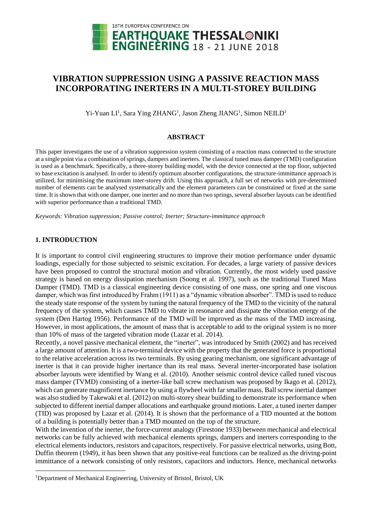

# **VIBRATION SUPPRESSION USING A PASSIVE REACTION MASS INCORPORATING INERTERS IN A MULTI-STOREY BUILDING**

Yi-Yuan LI<sup>1</sup>, Sara Ying ZHANG<sup>1</sup>, Jason Zheng JIANG<sup>1</sup>, Simon NEILD<sup>1</sup>

## **ABSTRACT**

This paper investigates the use of a vibration suppression system consisting of a reaction mass connected to the structure at a single point via a combination of springs, dampers and inerters. The classical tuned mass damper (TMD) configuration is used as a benchmark. Specifically, a three-storey building model, with the device connected at the top floor, subjected to base excitation is analysed. In order to identify optimum absorber configurations, the structure-immittance approach is utilized, for minimising the maximum inter-storey drift. Using this approach, a full set of networks with pre-determined number of elements can be analysed systematically and the element parameters can be constrained or fixed at the same time. It is shown that with one damper, one inerter and no more than two springs, several absorber layouts can be identified with superior performance than a traditional TMD.

*Keywords: Vibration suppression; Passive control; Inerter; Structure-immittance approach*

# **1. INTRODUCTION**

1

It is important to control civil engineering structures to improve their motion performance under dynamic loadings, especially for those subjected to seismic excitation. For decades, a large variety of passive devices have been proposed to control the structural motion and vibration. Currently, the most widely used passive strategy is based on energy dissipation mechanism (Soong et al. 1997), such as the traditional Tuned Mass Damper (TMD). TMD is a classical engineering device consisting of one mass, one spring and one viscous damper, which was first introduced by Frahm (1911) as a "dynamic vibration absorber". TMD is used to reduce the steady state response of the system by tuning the natural frequency of the TMD to the vicinity of the natural frequency of the system, which causes TMD to vibrate in resonance and dissipate the vibration energy of the system (Den Hartog 1956). Performance of the TMD will be improved as the mass of the TMD increasing. However, in most applications, the amount of mass that is acceptable to add to the original system is no more than 10% of mass of the targeted vibration mode (Lazar et al. 2014).

Recently, a novel passive mechanical element, the "inerter", was introduced by Smith (2002) and has received a large amount of attention. It is a two-terminal device with the property that the generated force is proportional to the relative acceleration across its two terminals. By using gearing mechanism, one significant advantage of inerter is that it can provide higher inertance than its real mass. Several inerter-incorporated base isolation absorber layouts were identified by Wang et al. (2010). Another seismic control device called tuned viscous mass damper (TVMD) consisting of a inerter-like ball screw mechanism was proposed by Ikago et al. (2012), which can generate magnificent inertance by using a flywheel with far smaller mass. Ball screw inertial damper was also studied by Takewaki et al. (2012) on multi-storey shear building to demonstrate its performance when subjected to different inertial damper allocations and earthquake ground motions. Later, a tuned inerter damper (TID) was proposed by Lazar et al. (2014). It is shown that the performance of a TID mounted at the bottom of a building is potentially better than a TMD mounted on the top of the structure.

With the invention of the inerter, the force-current analogy (Firestone 1933) between mechanical and electrical networks can be fully achieved with mechanical elements springs, dampers and inerters corresponding to the electrical elements inductors, resistors and capacitors, respectively. For passive electrical networks, using Bott, Duffin theorem (1949), it has been shown that any positive-real functions can be realized as the driving-point immittance of a network consisting of only resistors, capacitors and inductors. Hence, mechanical networks

<sup>&</sup>lt;sup>1</sup>Department of Mechanical Engineering, University of Bristol, Bristol, UK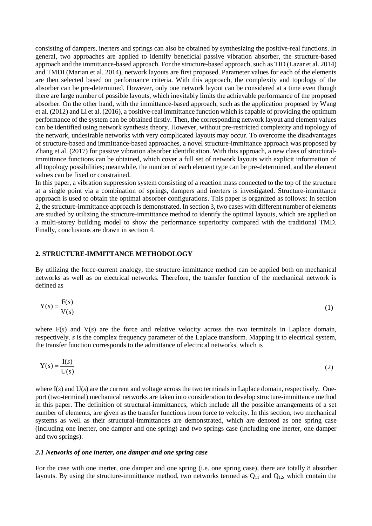consisting of dampers, inerters and springs can also be obtained by synthesizing the positive-real functions. In general, two approaches are applied to identify beneficial passive vibration absorber, the structure-based approach and the immittance-based approach. For the structure-based approach, such as TID (Lazar et al. 2014) and TMDI (Marian et al. 2014), network layouts are first proposed. Parameter values for each of the elements are then selected based on performance criteria. With this approach, the complexity and topology of the absorber can be pre-determined. However, only one network layout can be considered at a time even though there are large number of possible layouts, which inevitably limits the achievable performance of the proposed absorber. On the other hand, with the immittance-based approach, such as the application proposed by Wang et al. (2012) and Li et al. (2016), a positive-real immittance function which is capable of providing the optimum performance of the system can be obtained firstly. Then, the corresponding network layout and element values can be identified using network synthesis theory. However, without pre-restricted complexity and topology of the network, undesirable networks with very complicated layouts may occur. To overcome the disadvantages of structure-based and immittance-based approaches, a novel structure-immittance approach was proposed by Zhang et al. (2017) for passive vibration absorber identification. With this approach, a new class of structuralimmittance functions can be obtained, which cover a full set of network layouts with explicit information of all topology possibilities; meanwhile, the number of each element type can be pre-determined, and the element values can be fixed or constrained.

In this paper, a vibration suppression system consisting of a reaction mass connected to the top of the structure at a single point via a combination of springs, dampers and inerters is investigated. Structure-immittance approach is used to obtain the optimal absorber configurations. This paper is organized as follows: In section 2, the structure-immittance approach is demonstrated. In section 3, two cases with different number of elements are studied by utilizing the structure-immittance method to identify the optimal layouts, which are applied on a multi-storey building model to show the performance superiority compared with the traditional TMD. Finally, conclusions are drawn in section 4.

## **2. STRUCTURE**-**IMMITTANCE METHODOLOGY**

By utilizing the force-current analogy, the structure-immittance method can be applied both on mechanical networks as well as on electrical networks. Therefore, the transfer function of the mechanical network is defined as

$$
Y(s) = \frac{F(s)}{V(s)}\tag{1}
$$

where  $F(s)$  and  $V(s)$  are the force and relative velocity across the two terminals in Laplace domain, respectively. *s* is the complex frequency parameter of the Laplace transform. Mapping it to electrical system, the transfer function corresponds to the admittance of electrical networks, which is

$$
Y(s) = \frac{I(s)}{U(s)}\tag{2}
$$

where I(s) and U(s) are the current and voltage across the two terminals in Laplace domain, respectively. Oneport (two-terminal) mechanical networks are taken into consideration to develop structure-immittance method in this paper. The definition of structural-immittances, which include all the possible arrangements of a set number of elements, are given as the transfer functions from force to velocity. In this section, two mechanical systems as well as their structural-immittances are demonstrated, which are denoted as one spring case (including one inerter, one damper and one spring) and two springs case (including one inerter, one damper and two springs).

#### *2.1 Networks of one inerter, one damper and one spring case*

For the case with one inerter, one damper and one spring (i.e. one spring case), there are totally 8 absorber layouts. By using the structure-immittance method, two networks termed as  $Q_{11}$  and  $Q_{12}$ , which contain the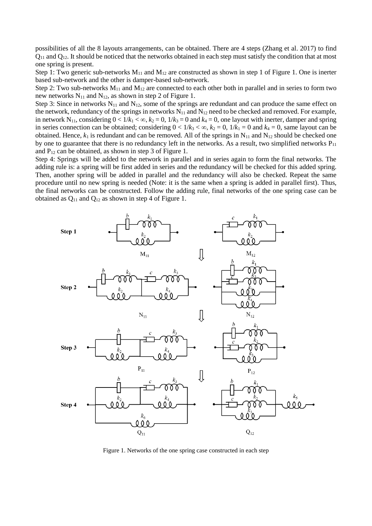possibilities of all the 8 layouts arrangements, can be obtained. There are 4 steps (Zhang et al. 2017) to find  $Q_{11}$  and  $Q_{12}$ . It should be noticed that the networks obtained in each step must satisfy the condition that at most one spring is present.

Step 1: Two generic sub-networks  $M_{11}$  and  $M_{12}$  are constructed as shown in step 1 of Figure 1. One is inerter based sub-network and the other is damper-based sub-network.

Step 2: Two sub-networks  $M_{11}$  and  $M_{12}$  are connected to each other both in parallel and in series to form two new networks  $N_{11}$  and  $N_{12}$ , as shown in step 2 of Figure 1.

Step 3: Since in networks  $N_{11}$  and  $N_{12}$ , some of the springs are redundant and can produce the same effect on the network, redundancy of the springs in networks  $N_{11}$  and  $N_{12}$  need to be checked and removed. For example, in network N<sub>11</sub>, considering  $0 < 1/k_1 < \infty$ ,  $k_2 = 0$ ,  $1/k_3 = 0$  and  $k_4 = 0$ , one layout with inerter, damper and spring in series connection can be obtained; considering  $0 < 1/k_3 < \infty$ ,  $k_2 = 0$ ,  $1/k_1 = 0$  and  $k_4 = 0$ , same layout can be obtained. Hence,  $k_1$  is redundant and can be removed. All of the springs in  $N_{11}$  and  $N_{12}$  should be checked one by one to guarantee that there is no redundancy left in the networks. As a result, two simplified networks  $P_{11}$ and  $P_{12}$  can be obtained, as shown in step 3 of Figure 1.

Step 4: Springs will be added to the network in parallel and in series again to form the final networks. The adding rule is: a spring will be first added in series and the redundancy will be checked for this added spring. Then, another spring will be added in parallel and the redundancy will also be checked. Repeat the same procedure until no new spring is needed (Note: it is the same when a spring is added in parallel first). Thus, the final networks can be constructed. Follow the adding rule, final networks of the one spring case can be obtained as  $Q_{11}$  and  $Q_{12}$  as shown in step 4 of Figure 1.



Figure 1. Networks of the one spring case constructed in each step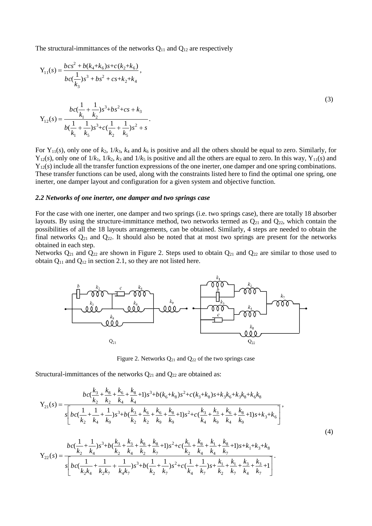The structural-immittances of the networks  $Q_{11}$  and  $Q_{12}$  are respectively

$$
Y_{11}(s) = \frac{bc s^2 + b(k_4 + k_6)s + c(k_2 + k_6)}{bc(\frac{1}{k_3})s^3 + bs^2 + cs + k_2 + k_4},
$$
  
\n
$$
Y_{12}(s) = \frac{bc(\frac{1}{k_1} + \frac{1}{k_2})s^3 + bs^2 + cs + k_3}{b(\frac{1}{k_1} + \frac{1}{k_5})s^3 + c(\frac{1}{k_2} + \frac{1}{k_5})s^2 + s}.
$$
  
\n(3)

For  $Y_{11}(s)$ , only one of  $k_2$ ,  $1/k_3$ ,  $k_4$  and  $k_6$  is positive and all the others should be equal to zero. Similarly, for  $Y_{12}(s)$ , only one of  $1/k_1$ ,  $1/k_2$ ,  $k_3$  and  $1/k_5$  is positive and all the others are equal to zero. In this way,  $Y_{11}(s)$  and Y<sub>12</sub>(*s*) include all the transfer function expressions of the one inerter, one damper and one spring combinations. These transfer functions can be used, along with the constraints listed here to find the optimal one spring, one inerter, one damper layout and configuration for a given system and objective function.

#### *2.2 Networks of one inerter, one damper and two springs case*

For the case with one inerter, one damper and two springs (i.e. two springs case), there are totally 18 absorber layouts. By using the structure-immittance method, two networks termed as  $Q_{21}$  and  $Q_{22}$ , which contain the possibilities of all the 18 layouts arrangements, can be obtained. Similarly, 4 steps are needed to obtain the final networks  $Q_{21}$  and  $Q_{22}$ . It should also be noted that at most two springs are present for the networks obtained in each step.

Networks  $Q_{21}$  and  $Q_{22}$  are shown in Figure 2. Steps used to obtain  $Q_{21}$  and  $Q_{22}$  are similar to those used to obtain  $Q_{11}$  and  $Q_{12}$  in section 2.1, so they are not listed here.



Figure 2. Networks  $Q_{21}$  and  $Q_{22}$  of the two springs case

Structural-immittances of the networks  $Q_{21}$  and  $Q_{22}$  are obtained as:

tructural-immittances of the networks Q<sub>21</sub> and Q<sub>22</sub> are obtained as:  
\n
$$
b c \left(\frac{k_3}{k_2} + \frac{k_8}{k_2} + \frac{k_6}{k_4} + \frac{k_8}{k_4} + 1\right) s^3 + b (k_6 + k_8) s^2 + c (k_3 + k_8) s + k_3 k_6 + k_3 k_8 + k_6 k_8
$$
\n
$$
Y_{21}(s) = \frac{\sqrt{b c \left(\frac{1}{k_2} + \frac{1}{k_4} + \frac{1}{k_9}\right) s^3 + b \left(\frac{k_3}{k_2} + \frac{k_6}{k_2} + \frac{k_6}{k_3} + \frac{k_8}{k_9} + 1\right) s^2 + c \left(\frac{k_3}{k_4} + \frac{k_3}{k_9} + \frac{k_6}{k_4} + \frac{k_8}{k_9} + 1\right) s + k_3 + k_6}}{\left(\frac{b}{k_2} + \frac{b}{k_4} + \frac{b}{k_9} + \frac{b}{k_9} + \frac{b}{k_9} + \frac{b}{k_9} + \frac{b}{k_9} + \frac{b}{k_4} + \frac{b}{k_9} + \frac{b}{k_4} + \frac{b}{k_9} + \frac{b}{k_4} + \frac{b}{k_9} + \frac{b}{k_4} + \frac{b}{k_9} + \frac{b}{k_4} + \frac{b}{k_9} + \frac{b}{k_4} + \frac{b}{k_9} + \frac{b}{k_4} + \frac{b}{k_9} + \frac{b}{k_9} + \frac{b}{k_9} + \frac{b}{k_9} + \frac{b}{k_9} + \frac{b}{k_9} + \frac{b}{k_9} + \frac{b}{k_9} + \frac{b}{k_9} + \frac{b}{k_9} + \frac{b}{k_9} + \frac{b}{k_9} + \frac{b}{k_9} + \frac{b}{k_9} + \frac{b}{k_9} + \frac{b}{k_9} + \frac{b}{k_9} + \frac{b}{k_9} + \frac{b}{k_9} + \frac{b}{k_9} + \frac{b}{k_9} + \frac{b}{k_9} + \frac{b}{k_9} + \frac{b}{k_9}
$$

$$
\begin{aligned}\n& \left[ \begin{array}{ccccccccc}\n k_2 & k_4 & k_9 & k_2 & k_2 & k_9 & k_9 & k_4 & k_9 & k_4 & k_9 & \\
\hline\n & k_2 & k_4 & k_9 & k_4 & k_9 & k_4 & k_9 & \\
\end{array} \right] \\
& Y_{22}(s) = \frac{bc(\frac{1}{k_2} + \frac{1}{k_4})s^3 + b(\frac{k_3}{k_2} + \frac{k_3}{k_4} + \frac{k_8}{k_2} + 1)s^2 + c(\frac{k_1}{k_2} + \frac{k_8}{k_4} + \frac{k_1}{k_4} + \frac{k_8}{k_7} + 1)s + k_1 + k_3 + k_8}{s_2(s) = \frac{s_2}{s_2(s)} \\
& Y_{22}(s) = \frac{s_2}{s_2(s)} \\
& Y_{22}(s) = \frac{1}{s_2(s)} \\
& Y_{22}(s) = \frac{s_2}{s_2(s)} \\
& Y_{22}(s) = \frac{s_2}{s_2(s)} \\
& Y_{22}(s) = \frac{s_2}{s_2(s)} \\
& Y_{22}(s) = \frac{s_2}{s_2(s)} \\
& Y_{22}(s) = \frac{s_2}{s_2(s)} \\
& Y_{22}(s) = \frac{s_2}{s_2(s)} \\
& Y_{22}(s) = \frac{s_2}{s_2(s)} \\
& Y_{22}(s) = \frac{s_2}{s_2(s)} \\
& Y_{22}(s) = \frac{s_2}{s_2(s)} \\
& Y_{22}(s) = \frac{s_2}{s_2(s)} \\
& Y_{22}(s) = \frac{s_2}{s_2(s)} \\
& Y_{22}(s) = \frac{s_2}{s_2(s)} \\
& Y_{22}(s) = \frac{s_2}{s_2(s)} \\
& Y_{22}(s) = \frac{s_2}{s_2(s)} \\
& Y_{22}(s) = \frac{s_2}{s_2(s)} \\
& Y_{22}(s) = \frac{s_2}{s_2(s)} \\
& Y_{22}(s) = \frac{s_2}{s_2(s)} \\
& Y_{22}(s) = \frac{s_2}{s_2(s)} \\
& Y_{22}(s) = \frac{s_2}{s_
$$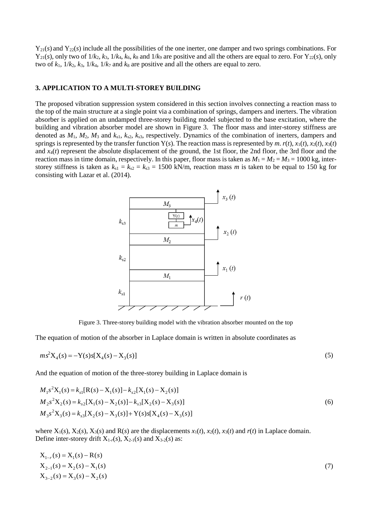$Y_{21}(s)$  and  $Y_{22}(s)$  include all the possibilities of the one inerter, one damper and two springs combinations. For  $Y_{21}(s)$ , only two of  $1/k_2$ ,  $k_3$ ,  $1/k_4$ ,  $k_6$ ,  $k_8$  and  $1/k_9$  are positive and all the others are equal to zero. For  $Y_{22}(s)$ , only two of  $k_1$ ,  $1/k_2$ ,  $k_3$ ,  $1/k_4$ ,  $1/k_7$  and  $k_8$  are positive and all the others are equal to zero.

## **3. APPLICATION TO A MULTI-STOREY BUILDING**

The proposed vibration suppression system considered in this section involves connecting a reaction mass to the top of the main structure at a single point via a combination of springs, dampers and inerters. The vibration absorber is applied on an undamped three-storey building model subjected to the base excitation, where the building and vibration absorber model are shown in Figure 3. The floor mass and inter-storey stiffness are denoted as *M*1, *M*2, *M*<sup>3</sup> and *k*s1, *k*s2, *k*s3, respectively. Dynamics of the combination of inerters, dampers and springs is represented by the transfer function Y(s). The reaction mass is represented by *m*.  $r(t)$ ,  $x_1(t)$ ,  $x_2(t)$ ,  $x_3(t)$ and *x*4(*t*) represent the absolute displacement of the ground, the 1st floor, the 2nd floor, the 3rd floor and the reaction mass in time domain, respectively. In this paper, floor mass is taken as  $M_1 = M_2 = M_3 = 1000$  kg, interstorey stiffness is taken as  $k_{s1} = k_{s2} = k_{s3} = 1500$  kN/m, reaction mass *m* is taken to be equal to 150 kg for consisting with Lazar et al. (2014).



Figure 3. Three-storey building model with the vibration absorber mounted on the top

The equation of motion of the absorber in Laplace domain is written in absolute coordinates as

$$
ms^{2}X_{4}(s) = -Y(s)s[X_{4}(s) - X_{3}(s)]
$$
\n(5)

And the equation of motion of the three-storey building in Laplace domain is

$$
M_1s^2X_1(s) = k_{s1}[R(s) - X_1(s)] - k_{s2}[X_1(s) - X_2(s)]
$$
  
\n
$$
M_2s^2X_2(s) = k_{s2}[X_1(s) - X_2(s)] - k_{s3}[X_2(s) - X_3(s)]
$$
  
\n
$$
M_3s^2X_3(s) = k_{s3}[X_2(s) - X_3(s)] + Y(s)s[X_4(s) - X_3(s)]
$$
\n(6)

where  $X_1(s)$ ,  $X_2(s)$ ,  $X_3(s)$  and  $R(s)$  are the displacements  $x_1(t)$ ,  $x_2(t)$ ,  $x_3(t)$  and  $r(t)$  in Laplace domain. Define inter-storey drift  $X_{1-r}(s)$ ,  $X_{2-1}(s)$  and  $X_{3-2}(s)$  as:

$$
X_{1-r}(s) = X_1(s) - R(s)
$$
  
\n
$$
X_{2-1}(s) = X_2(s) - X_1(s)
$$
  
\n
$$
X_{3-2}(s) = X_3(s) - X_2(s)
$$
\n(7)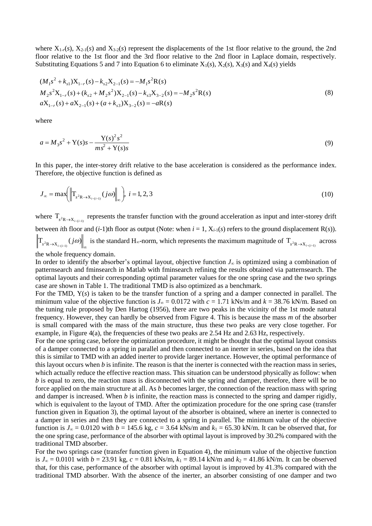where  $X_{1-r}(s)$ ,  $X_{2-1}(s)$  and  $X_{3-2}(s)$  represent the displacements of the 1st floor relative to the ground, the 2nd floor relative to the 1st floor and the 3rd floor relative to the 2nd floor in Laplace domain, respectively. Substituting Equations 5 and 7 into Equation 6 to eliminate  $X_1(s)$ ,  $X_2(s)$ ,  $X_3(s)$  and  $X_4(s)$  yields

$$
(M_1s^2 + k_{s1})X_{1-r}(s) - k_{s2}X_{2-1}(s) = -M_1s^2R(s)
$$
  
\n
$$
M_2s^2X_{1-r}(s) + (k_{s2} + M_2s^2)X_{2-1}(s) - k_{s3}X_{3-2}(s) = -M_2s^2R(s)
$$
  
\n
$$
aX_{1-r}(s) + aX_{2-1}(s) + (a + k_{s3})X_{3-2}(s) = -aR(s)
$$
\n(8)

where

$$
a = M_3 s^2 + Y(s)s - \frac{Y(s)^2 s^2}{ms^2 + Y(s)s}
$$
\n(9)

In this paper, the inter-storey drift relative to the base acceleration is considered as the performance index. Therefore, the objective function is defined as

$$
J_{\infty} = \max\left(\left\|\mathbf{T}_{s^2 \mathbf{R} \to \mathbf{X}_{i-(i-1)}}(j\omega)\right\|_{\infty}\right), \ i = 1, 2, 3 \tag{10}
$$

where  $T_{s^2R \to X_{i-(i-1)}}$  represents the transfer function with the ground acceleration as input and inter-storey drift between *i*th floor and  $(i-1)$ th floor as output (Note: when  $i = 1$ ,  $X_{i-1}(s)$  refers to the ground displacement  $R(s)$ ).  $T_{s^2 R \to X_{i-(i-1)}}(j\omega)$  is the standard H<sub>∞</sub>-norm, which represents the maximum magnitude of  $T_{s^2 R \to X_{i-(i-1)}}$  across the whole frequency domain.

In order to identify the absorber's optimal layout, objective function *J*<sup>∞</sup> is optimized using a combination of patternsearch and fminsearch in Matlab with fminsearch refining the results obtained via patternsearch. The optimal layouts and their corresponding optimal parameter values for the one spring case and the two springs case are shown in Table 1. The traditional TMD is also optimized as a benchmark.

For the TMD, Y(*s*) is taken to be the transfer function of a spring and a damper connected in parallel. The minimum value of the objective function is  $J_{\infty} = 0.0172$  with  $c = 1.71$  kNs/m and  $k = 38.76$  kN/m. Based on the tuning rule proposed by Den Hartog (1956), there are two peaks in the vicinity of the 1st mode natural frequency. However, they can hardly be observed from Figure 4. This is because the mass *m* of the absorber is small compared with the mass of the main structure, thus these two peaks are very close together. For example, in Figure 4(a), the frequencies of these two peaks are 2.54 Hz and 2.63 Hz, respectively.

For the one spring case, before the optimization procedure, it might be thought that the optimal layout consists of a damper connected to a spring in parallel and then connected to an inerter in series, based on the idea that this is similar to TMD with an added inerter to provide larger inertance. However, the optimal performance of this layout occurs when *b* is infinite. The reason is that the inerter is connected with the reaction mass in series, which actually reduce the effective reaction mass. This situation can be understood physically as follow: when *b* is equal to zero, the reaction mass is disconnected with the spring and damper, therefore, there will be no force applied on the main structure at all. As *b* becomes larger, the connection of the reaction mass with spring and damper is increased. When *b* is infinite, the reaction mass is connected to the spring and damper rigidly, which is equivalent to the layout of TMD. After the optimization procedure for the one spring case (transfer function given in Equation 3), the optimal layout of the absorber is obtained, where an inerter is connected to a damper in series and then they are connected to a spring in parallel. The minimum value of the objective function is  $J_{\infty} = 0.0120$  with  $b = 145.6$  kg,  $c = 3.64$  kNs/m and  $k_1 = 65.30$  kN/m. It can be observed that, for the one spring case, performance of the absorber with optimal layout is improved by 30.2% compared with the traditional TMD absorber.

For the two springs case (transfer function given in Equation 4), the minimum value of the objective function is  $J_{\infty}$  = 0.0101 with *b* = 23.91 kg, *c* = 0.81 kNs/m,  $k_1$  = 89.14 kN/m and  $k_2$  = 41.86 kN/m. It can be observed that, for this case, performance of the absorber with optimal layout is improved by 41.3% compared with the traditional TMD absorber. With the absence of the inerter, an absorber consisting of one damper and two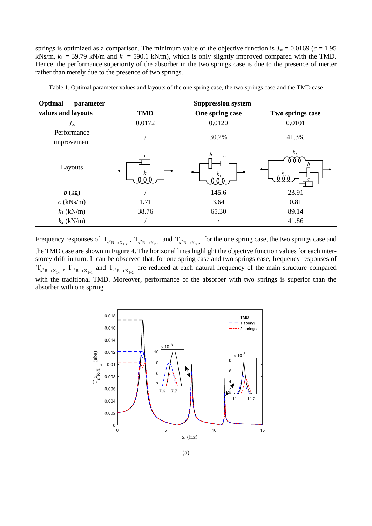springs is optimized as a comparison. The minimum value of the objective function is  $J_{\infty} = 0.0169$  ( $c = 1.95$ ) kNs/m,  $k_1 = 39.79$  kN/m and  $k_2 = 590.1$  kN/m), which is only slightly improved compared with the TMD. Hence, the performance superiority of the absorber in the two springs case is due to the presence of inerter rather than merely due to the presence of two springs.

| Optimal<br>parameter       | <b>Suppression system</b> |                 |                  |
|----------------------------|---------------------------|-----------------|------------------|
| values and layouts         | <b>TMD</b>                | One spring case | Two springs case |
| $J_{\infty}$               | 0.0172                    | 0.0120          | 0.0101           |
| Performance<br>improvement |                           | 30.2%           | 41.3%            |
| Layouts                    | с                         |                 | k <sub>2</sub>   |
| $b$ (kg)                   |                           | 145.6           | 23.91            |
| $c$ (kNs/m)                | 1.71                      | 3.64            | 0.81             |
| $k_1$ (kN/m)               | 38.76                     | 65.30           | 89.14            |
| $k_2$ (kN/m)               |                           |                 | 41.86            |

Table 1. Optimal parameter values and layouts of the one spring case, the two springs case and the TMD case

Frequency responses of  $T_{s^2R \to X_{1-r}}$ ,  $T_{s^2R \to X_{2-1}}$  and  $T_{s^2R \to X_{3-2}}$  for the one spring case, the two springs case and the TMD case are shown in Figure 4. The horizonal lines highlight the objective function values for each interstorey drift in turn. It can be observed that, for one spring case and two springs case, frequency responses of  $T_{s^2R\to X_{1-r}}$ ,  $T_{s^2R\to X_{2-1}}$  and  $T_{s^2R\to X_{3-2}}$  are reduced at each natural frequency of the main structure compared with the traditional TMD. Moreover, performance of the absorber with two springs is superior than the absorber with one spring.

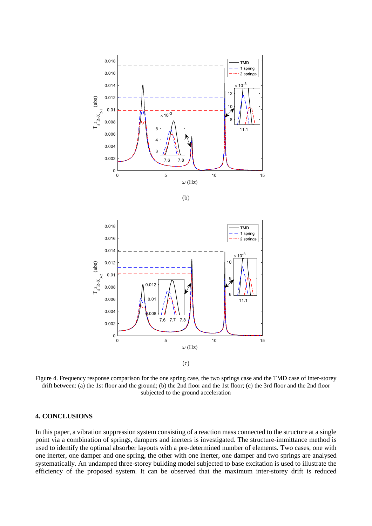





(c)

Figure 4. Frequency response comparison for the one spring case, the two springs case and the TMD case of inter-storey drift between: (a) the 1st floor and the ground; (b) the 2nd floor and the 1st floor; (c) the 3rd floor and the 2nd floor subjected to the ground acceleration

# **4. CONCLUSIONS**

In this paper, a vibration suppression system consisting of a reaction mass connected to the structure at a single point via a combination of springs, dampers and inerters is investigated. The structure-immittance method is used to identify the optimal absorber layouts with a pre-determined number of elements. Two cases, one with one inerter, one damper and one spring, the other with one inerter, one damper and two springs are analysed systematically. An undamped three-storey building model subjected to base excitation is used to illustrate the efficiency of the proposed system. It can be observed that the maximum inter-storey drift is reduced